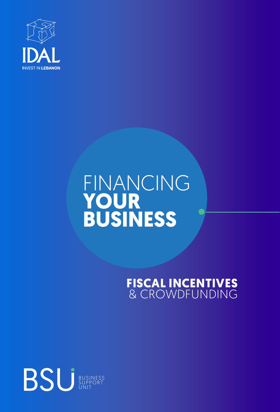

# FINANCING **YOUR BUSINESS**

## **FISCAL INCENTIVES** & CROWDFUNDING

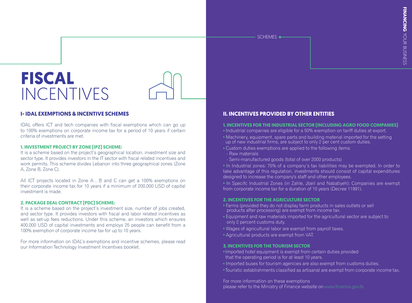SCHEMES<sup> $\leftarrow$ </sup>

# **FISCAL**  INCENTIVES



### **I- IDAL EXEMPTIONS & INCENTIVE SCHEMES**

IDAL offers ICT and tech companies with fiscal exemptions which can go up to 100% exemptions on corporate income tax for a period of 10 years if certain criteria of investments are met.

#### **1. INVESTMENT PROJECT BY ZONE (IPZ) SCHEME:**

It is a scheme based on the project's geographical location, investment size and sector type. It provides investors in the IT sector with fiscal related incentives and work permits. This scheme divides Lebanon into three geographical zones (Zone A, Zone B, Zone C).

All ICT projects located in Zone A , B and C can get a 100% exemptions on their corporate income tax for 10 years if a minimum of 200,000 USD of capital investment is made.

#### **2. PACKAGE DEAL CONTRACT (PDC) SCHEME:**

It is a scheme based on the project's investment size, number of jobs created, and sector type. It provides investors with fiscal and labor related incentives as well as set-up fees reductions. Under this scheme, an investors which ensures 400,000 USD of capital investments and employs 25 people can benefit from a 100% exemption of corporate income tax for up to 10 years.

For more information on IDAL's exemptions and incentive schemes, please read our Information Technology Investment Incentives [booklet](http://investinlebanon.gov.lb/Content/).

### **II. INCENTIVES PROVIDED BY OTHER ENTITIES**

#### **1. INCENTIVES FOR THE INDUSTRIAL SECTOR (INCLUDING AGRO FOOD COMPANIES)**

- **•** Industrial companies are eligible for a 50% exemption on tariff duties at export.
- **•** Machinery, equipment, spare parts and building material imported for the setting up of new industrial firms, are subject to only 2 per cent custom duties.
- **•** Custom duties exemptions are applied to the following items:
- Raw materials
- Semi-manufactured goods (total of over 2000 products)

**•** In Industrial zones: 75% of a company's tax liabilities may be exempted. In order to take advantage of this regulation, investments should consist of capital expenditures designed to increase the company's staff and other employees.

**•** In Specifc Industrial Zones (in Zahle, Jbeil and Nabatiyeh): Companies are exempt from corporate income tax for a duration of 10 years (Decree 11991).

#### **2. INCENTIVES FOR THE AGRICULTURE SECTOR**

- **•** Farms (provided they do not display farm products in sales outlets or sell products after processing) are exempt from income tax.
- **•** Equipment and raw materials imported for the agricultural sector are subject to only 2 percent customs duty.
- **•** Wages of agricultural labor are exempt from payroll taxes.
- **•** Agricultural products are exempt from VAT.

#### **3. INCENTIVES FOR THE TOURISM SECTOR**

- Imported hotel equipment is exempt from certain duties provided that the operating period is for at least 10 years.
- **•** Imported buses for tourism agencies are also exempt from customs duties.
- Touristic establishments classified as artisanal are exempt from corporate income tax.

#### For more information on these exemptions

please refer to the Ministry of Finance website on www.finance.gov.lb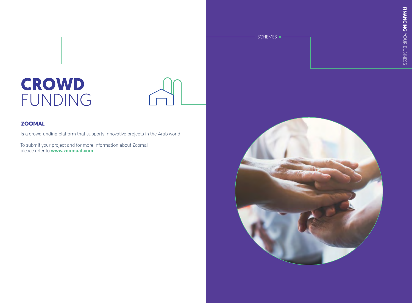# **CROWD** FUNDING



### **ZOOMAL**

Is a crowdfunding platform that supports innovative projects in the Arab world.

To submit your project and for more information about Zoomal please refer to **<www.zoomaal.com>**